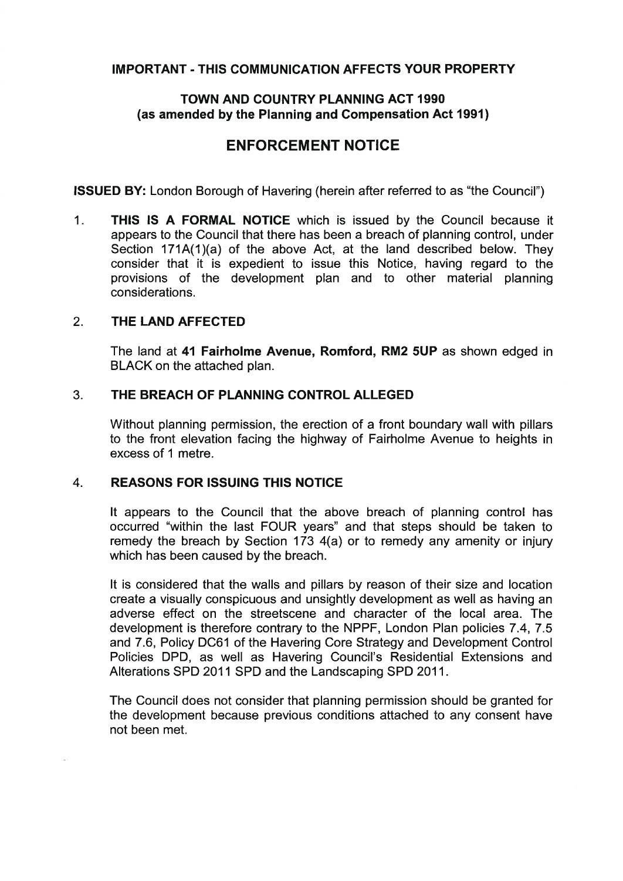## **IMPORTANT** - **THlS COMMUNICATION AFFECTS YOUR PROPERTY**

## **TOWN AND COUNTRY PLANNING ACT 1990 (as amended by the Planning and Compensation Act 1991)**

# **ENFORCEMENT NOTICE**

**ISSUED BY:** London Borough of Havering (herein after referred to as "the Council")

1. **THlS IS A FORMAL NOTICE** which is issued by the Council because it appears to the Council that there has been a breach of planning control, under Section 171A(1)(a) of the above Act, at the land described below. They consider that it is expedient to issue this Notice, having regard to the provisions of the development plan and to other material planning considerations.

#### 2. **THE LAND AFFECTED**

The land at **41 Fairholme Avenue, Romford, RM2 SUP** as shown edged in BLACK on the attached plan.

### **3. THE BREACH OF PLANNING CONTROL ALLEGED**

Without planning permission, the erection of a front boundary wall with pillars to the front elevation facing the highway of Fairholme Avenue to heights in excess of 1 metre.

## 4. **REASONS FOR ISSUING THIS NOTICE**

It appears to the Council that the above breach of planning control has occurred "within the last FOUR years" and that steps should be taken to remedy the breach by Section 173 4(a) or to remedy any amenity or injury which has been caused by the breach.

It is considered that the walls and pillars by reason of their size and location create a visually conspicuous and unsightly development as well as having an adverse effect on the streetscene and character of the local area. The development is therefore contrary to the NPPF, London Plan policies 7.4, 7.5 and 7.6, Policy DC61 of the Havering Core Strategy and Development Control Policies DPD, as well as Havering Council's Residential Extensions and Alterations SPD 2011 SPD and the Landscaping SPD 2011.

The Council does not consider that planning permission should be granted for the development because previous conditions attached to any consent have not been met.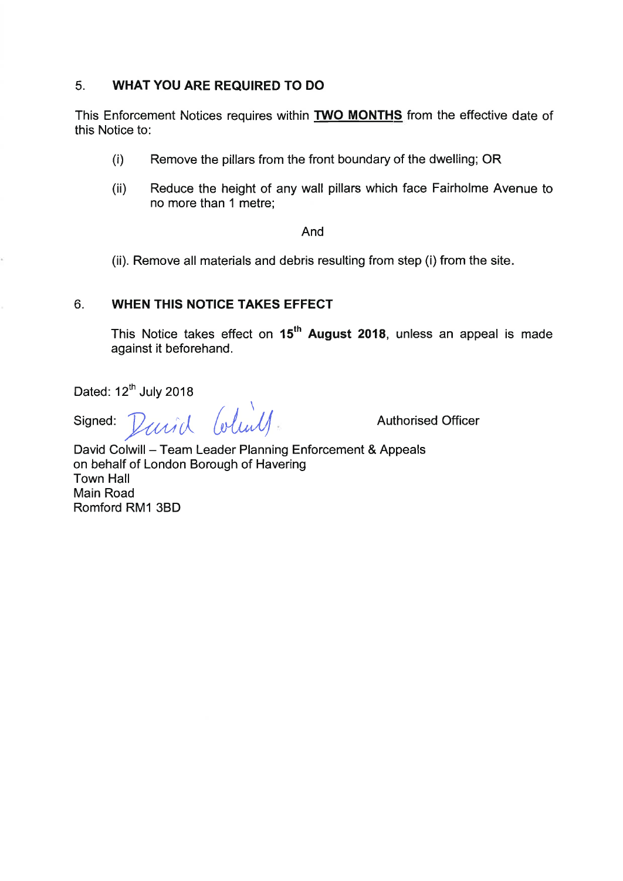#### 5. **WHAT YOU ARE REQUIRED TO DO**

This Enforcement Notices requires within **TWO MONTHS** from the effective date of this Notice to:

- Remove the pillars from the front boundary of the dwelling; OR  $(i)$
- (ii) Reduce the height of any wall pillars which face Fairholme Avenue to no more than 1 metre;

#### And

(ii). Remove all materials and debris resulting from step (i) from the site.

## 6. **WHEN THIS NOTICE TAKES EFFECT**

This Notice takes effect on 15<sup>th</sup> August 2018, unless an appeal is made against it beforehand.

Dated:  $12^{th}$  July 2018

 $Signed: *Pauli* & *(oblull)*$  Authorised Officer

David Colwill - Team Leader Planning Enforcement & Appeals on behalf of London Borough of Havering Town Hall Main Road Romford RMI 3BD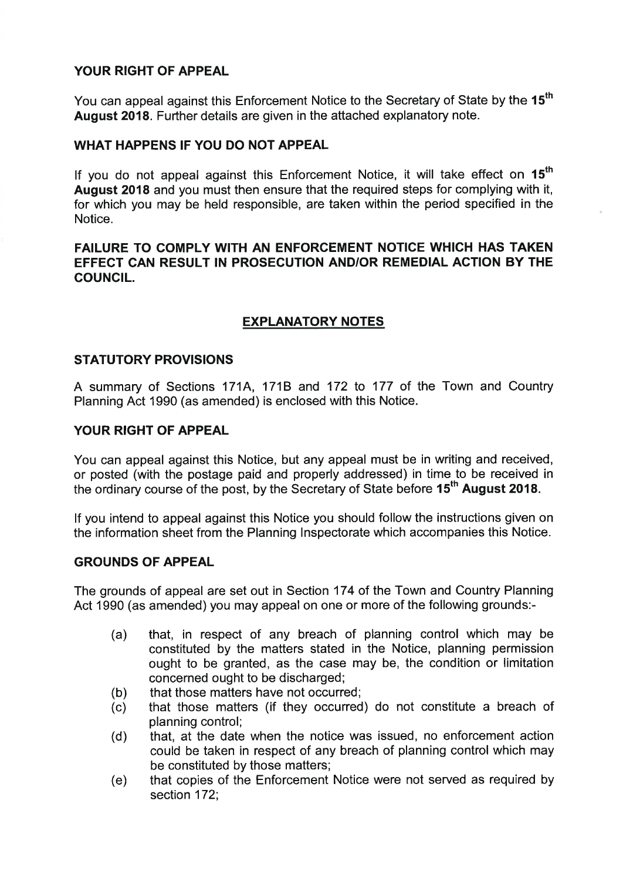## **YOUR RIGHT OF APPEAL**

You can appeal against this Enforcement Notice to the Secretary of State by the 15<sup>th</sup> **August 2018.** Further details are given in the attached explanatory note.

## **WHAT HAPPENS IF YOU DO NOT APPEAL**

If you do not appeal against this Enforcement Notice, it will take effect on **15" August 2018** and you must then ensure that the required steps for complying with it, for which you may be held responsible, are taken within the period specified in the Notice.

## **FAILURE TO COMPLY WITH AN ENFORCEMENT NOTICE WHICH HAS TAKEN EFFECT CAN RESULT IN PROSECUTION ANDIOR REMEDIAL ACTION BY THE COUNCIL.**

## **EXPLANATORY NOTES**

### **STATUTORY PROVISIONS**

A summary of Sections 171A, 171B and 172 to 177 of the Town and Country Planning Act 1990 (as amended) is enclosed with this Notice.

### **YOUR RIGHT OF APPEAL**

You can appeal against this Notice, but any appeal must be in writing and received, or posted (with the postage paid and properly addressed) in time to be received in the ordinary course of the post, by the Secretary of State before 15<sup>th</sup> August 2018.

If you intend to appeal against this Notice you should follow the instructions given on the information sheet from the Planning Inspectorate which accompanies this Notice.

#### **GROUNDS OF APPEAL**

The grounds of appeal are set out in Section 174 of the Town and Country Planning Act 1990 (as amended) you may appeal on one or more of the following grounds:-

- that, in respect of any breach of planning control which may be  $(a)$ constituted by the matters stated in the Notice, planning permission ought to be granted, as the case may be, the condition or limitation concerned ought to be discharged;
- that those matters have not occurred;  $(b)$
- that those matters (if they occurred) do not constitute a breach of  $(c)$ planning control;
- that, at the date when the notice was issued, no enforcement action  $(d)$ could be taken in respect of any breach of planning control which may be constituted by those matters;
- $(e)$ that copies of the Enforcement Notice were not served as required by section 172;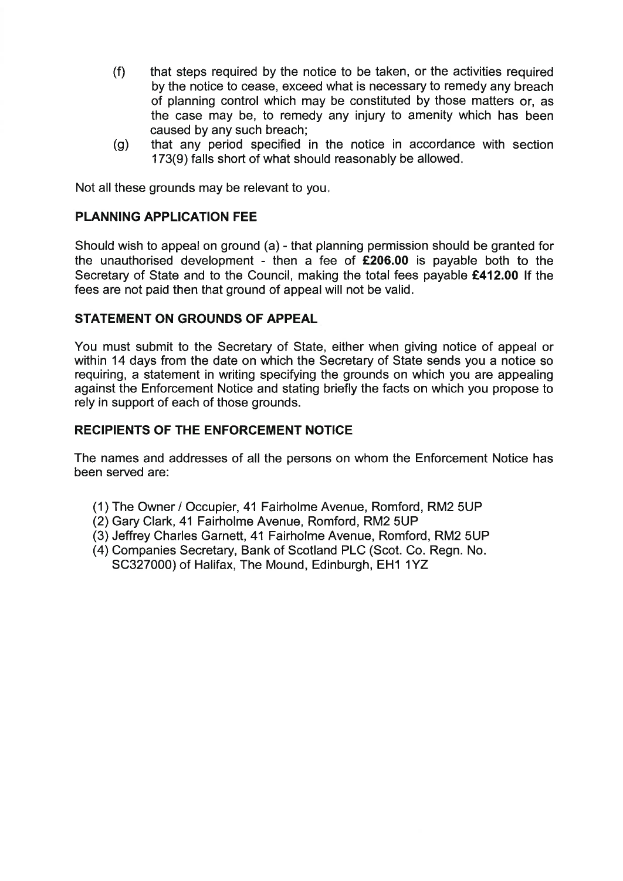- $(f)$ that steps required by the notice to be taken, or the activities required by the notice to cease, exceed what is necessary to remedy any breach of planning control which may be constituted by those matters or, as the case may be, to remedy any injury to amenity which has been caused by any such breach;
- that any period specified in the notice in accordance with section  $(g)$ 173(9) falls short of what should reasonably be allowed.

Not all these grounds may be relevant to you.

## **PLANNING APPLICATION FEE**

Should wish to appeal on ground (a) - that planning permission should be granted for the unauthorised development - then a fee of **f206.00** is payable both to the Secretary of State and to the Council, making the total fees payable **f412.00** If the fees are not paid then that ground of appeal will not be valid.

### **STATEMENT ON GROUNDS OF APPEAL**

You must submit to the Secretary of State, either when giving notice of appeal or within 14 days from the date on which the Secretary of State sends you a notice so requiring, a statement in writing specifying the grounds on which you are appealing against the Enforcement Notice and stating briefly the facts on which you propose to rely in support of each of those grounds.

### **RECIPIENTS OF THE ENFORCEMENT NOTICE**

The names and addresses of all the persons on whom the Enforcement Notice has been served are:

- (1) The Owner / Occupier, 41 Fairholme Avenue, Romford, RM2 5UP
- (2) Gary Clark, 41 Fairholme Avenue, Romford, RM2 5UP
- (3) Jeffrey Charles Garnett, 41 Fairholme Avenue, Romford, RM2 5UP
- (4) Companies Secretary, Bank of Scotland PLC (Scot. Co. Regn. No. SC327000) of Halifax, The Mound, Edinburgh, EH1 1YZ